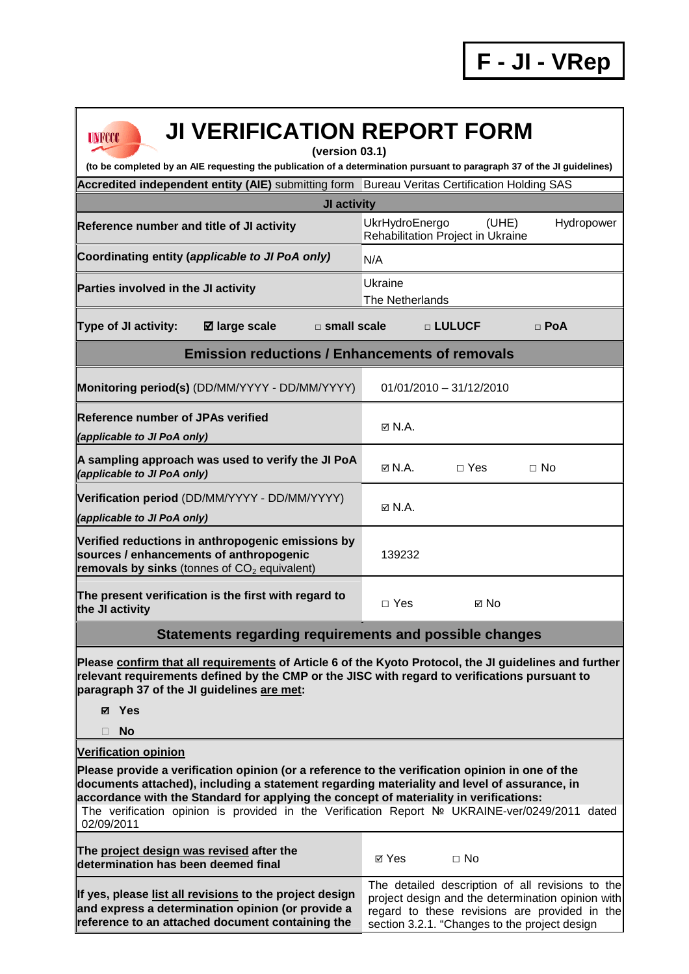| <b>JI VERIFICATION REPORT FORM</b><br><b>UNFCCC</b><br>(version 03.1)<br>(to be completed by an AIE requesting the publication of a determination pursuant to paragraph 37 of the JI guidelines)                                                                                                                                                                                                         |                                                                                                                                                                                                         |  |  |  |  |
|----------------------------------------------------------------------------------------------------------------------------------------------------------------------------------------------------------------------------------------------------------------------------------------------------------------------------------------------------------------------------------------------------------|---------------------------------------------------------------------------------------------------------------------------------------------------------------------------------------------------------|--|--|--|--|
|                                                                                                                                                                                                                                                                                                                                                                                                          |                                                                                                                                                                                                         |  |  |  |  |
| Accredited independent entity (AIE) submitting form Bureau Veritas Certification Holding SAS<br>JI activity                                                                                                                                                                                                                                                                                              |                                                                                                                                                                                                         |  |  |  |  |
| UkrHydroEnergo<br>(UHE)<br>Hydropower                                                                                                                                                                                                                                                                                                                                                                    |                                                                                                                                                                                                         |  |  |  |  |
| Reference number and title of JI activity                                                                                                                                                                                                                                                                                                                                                                | Rehabilitation Project in Ukraine                                                                                                                                                                       |  |  |  |  |
| Coordinating entity (applicable to JI PoA only)                                                                                                                                                                                                                                                                                                                                                          | N/A                                                                                                                                                                                                     |  |  |  |  |
| Parties involved in the JI activity                                                                                                                                                                                                                                                                                                                                                                      | Ukraine<br><b>The Netherlands</b>                                                                                                                                                                       |  |  |  |  |
| ⊠ large scale<br><b>Type of JI activity:</b><br>$\square$ small scale                                                                                                                                                                                                                                                                                                                                    | □ LULUCF<br>$\Box$ PoA                                                                                                                                                                                  |  |  |  |  |
| <b>Emission reductions / Enhancements of removals</b>                                                                                                                                                                                                                                                                                                                                                    |                                                                                                                                                                                                         |  |  |  |  |
| Monitoring period(s) (DD/MM/YYYY - DD/MM/YYYY)                                                                                                                                                                                                                                                                                                                                                           | $01/01/2010 - 31/12/2010$                                                                                                                                                                               |  |  |  |  |
| <b>Reference number of JPAs verified</b><br>(applicable to JI PoA only)                                                                                                                                                                                                                                                                                                                                  | $\boxtimes$ N.A.                                                                                                                                                                                        |  |  |  |  |
| A sampling approach was used to verify the JI PoA<br>(applicable to JI PoA only)                                                                                                                                                                                                                                                                                                                         | $\boxtimes$ N.A.<br>$\Box$ Yes<br>$\Box$ No                                                                                                                                                             |  |  |  |  |
| Verification period (DD/MM/YYYY - DD/MM/YYYY)<br>(applicable to JI PoA only)                                                                                                                                                                                                                                                                                                                             | $\boxtimes$ N.A.                                                                                                                                                                                        |  |  |  |  |
| Verified reductions in anthropogenic emissions by<br>sources / enhancements of anthropogenic<br>removals by sinks (tonnes of $CO2$ equivalent)                                                                                                                                                                                                                                                           | 139232                                                                                                                                                                                                  |  |  |  |  |
| The present verification is the first with regard to<br>the JI activity                                                                                                                                                                                                                                                                                                                                  | $\Box$ Yes<br>⊠ No                                                                                                                                                                                      |  |  |  |  |
| Statements regarding requirements and possible changes                                                                                                                                                                                                                                                                                                                                                   |                                                                                                                                                                                                         |  |  |  |  |
| Please confirm that all requirements of Article 6 of the Kyoto Protocol, the JI guidelines and further<br>relevant requirements defined by the CMP or the JISC with regard to verifications pursuant to<br>paragraph 37 of the JI guidelines are met:<br><b>Ø</b> Yes<br><b>No</b><br>П                                                                                                                  |                                                                                                                                                                                                         |  |  |  |  |
| <b>Verification opinion</b>                                                                                                                                                                                                                                                                                                                                                                              |                                                                                                                                                                                                         |  |  |  |  |
| Please provide a verification opinion (or a reference to the verification opinion in one of the<br>documents attached), including a statement regarding materiality and level of assurance, in<br>accordance with the Standard for applying the concept of materiality in verifications:<br>The verification opinion is provided in the Verification Report Nº UKRAINE-ver/0249/2011 dated<br>02/09/2011 |                                                                                                                                                                                                         |  |  |  |  |
| The project design was revised after the<br>determination has been deemed final                                                                                                                                                                                                                                                                                                                          | ⊠ Yes<br>$\Box$ No                                                                                                                                                                                      |  |  |  |  |
| If yes, please list all revisions to the project design<br>and express a determination opinion (or provide a<br>reference to an attached document containing the                                                                                                                                                                                                                                         | The detailed description of all revisions to the<br>project design and the determination opinion with<br>regard to these revisions are provided in the<br>section 3.2.1. "Changes to the project design |  |  |  |  |